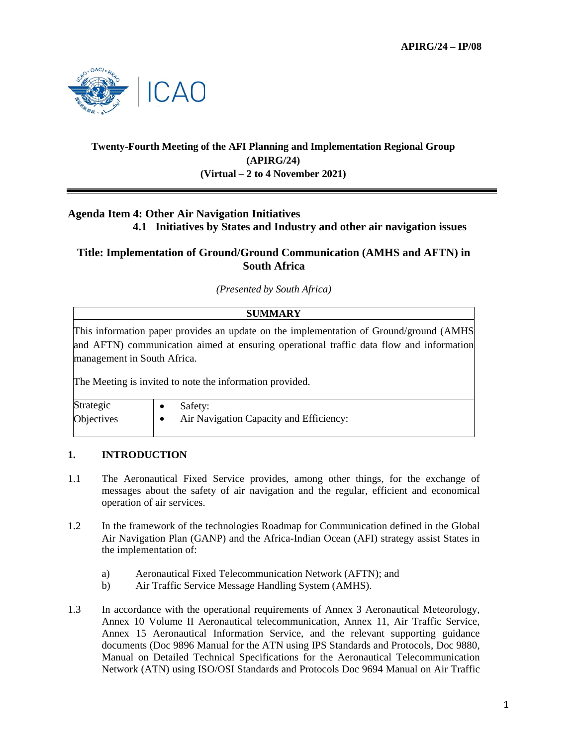

# **Twenty-Fourth Meeting of the AFI Planning and Implementation Regional Group (APIRG/24) (Virtual – 2 to 4 November 2021)**

# **Agenda Item 4: Other Air Navigation Initiatives**

 **4.1 Initiatives by States and Industry and other air navigation issues** 

## **Title: Implementation of Ground/Ground Communication (AMHS and AFTN) in South Africa**

*(Presented by South Africa)* 

### **SUMMARY**

This information paper provides an update on the implementation of Ground/ground (AMHS and AFTN) communication aimed at ensuring operational traffic data flow and information management in South Africa.

The Meeting is invited to note the information provided.

| Strategic  | Safety:                                 |
|------------|-----------------------------------------|
| Objectives | Air Navigation Capacity and Efficiency: |

#### **1. INTRODUCTION**

- 1.1 The Aeronautical Fixed Service provides, among other things, for the exchange of messages about the safety of air navigation and the regular, efficient and economical operation of air services.
- 1.2 In the framework of the technologies Roadmap for Communication defined in the Global Air Navigation Plan (GANP) and the Africa-Indian Ocean (AFI) strategy assist States in the implementation of:
	- a) Aeronautical Fixed Telecommunication Network (AFTN); and
	- b) Air Traffic Service Message Handling System (AMHS).
- 1.3 In accordance with the operational requirements of Annex 3 Aeronautical Meteorology, Annex 10 Volume II Aeronautical telecommunication, Annex 11, Air Traffic Service, Annex 15 Aeronautical Information Service, and the relevant supporting guidance documents (Doc 9896 Manual for the ATN using IPS Standards and Protocols, Doc 9880, Manual on Detailed Technical Specifications for the Aeronautical Telecommunication Network (ATN) using ISO/OSI Standards and Protocols Doc 9694 Manual on Air Traffic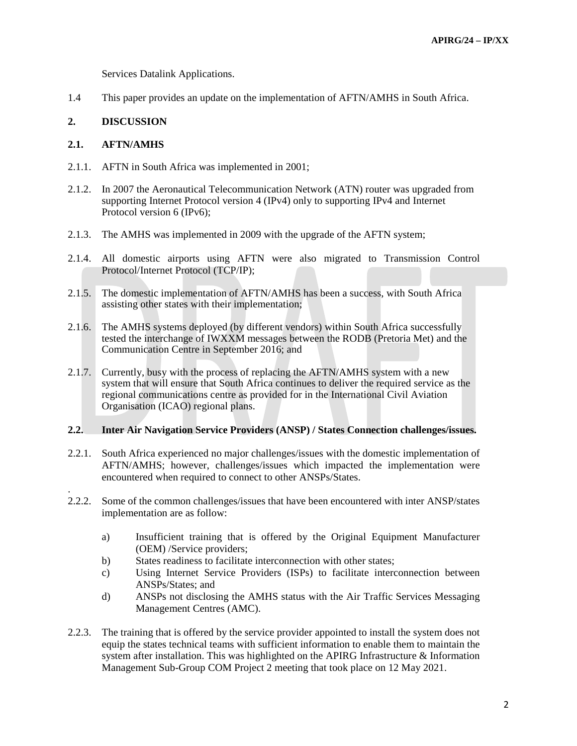Services Datalink Applications.

1.4 This paper provides an update on the implementation of AFTN/AMHS in South Africa.

#### **2. DISCUSSION**

#### **2.1. AFTN/AMHS**

.

- 2.1.1. AFTN in South Africa was implemented in 2001;
- 2.1.2. In 2007 the Aeronautical Telecommunication Network (ATN) router was upgraded from supporting Internet Protocol version 4 (IPv4) only to supporting IPv4 and Internet Protocol version 6 (IPv6);
- 2.1.3. The AMHS was implemented in 2009 with the upgrade of the AFTN system;
- 2.1.4. All domestic airports using AFTN were also migrated to Transmission Control Protocol/Internet Protocol (TCP/IP);
- 2.1.5. The domestic implementation of AFTN/AMHS has been a success, with South Africa assisting other states with their implementation;
- 2.1.6. The AMHS systems deployed (by different vendors) within South Africa successfully tested the interchange of IWXXM messages between the RODB (Pretoria Met) and the Communication Centre in September 2016; and
- 2.1.7. Currently, busy with the process of replacing the AFTN/AMHS system with a new system that will ensure that South Africa continues to deliver the required service as the regional communications centre as provided for in the International Civil Aviation Organisation (ICAO) regional plans.

#### **2.2. Inter Air Navigation Service Providers (ANSP) / States Connection challenges/issues.**

- 2.2.1. South Africa experienced no major challenges/issues with the domestic implementation of AFTN/AMHS; however, challenges/issues which impacted the implementation were encountered when required to connect to other ANSPs/States.
- 2.2.2. Some of the common challenges/issues that have been encountered with inter ANSP/states implementation are as follow:
	- a) Insufficient training that is offered by the Original Equipment Manufacturer (OEM) /Service providers;
	- b) States readiness to facilitate interconnection with other states;
	- c) Using Internet Service Providers (ISPs) to facilitate interconnection between ANSPs/States; and
	- d) ANSPs not disclosing the AMHS status with the Air Traffic Services Messaging Management Centres (AMC).
- 2.2.3. The training that is offered by the service provider appointed to install the system does not equip the states technical teams with sufficient information to enable them to maintain the system after installation. This was highlighted on the APIRG Infrastructure & Information Management Sub-Group COM Project 2 meeting that took place on 12 May 2021.